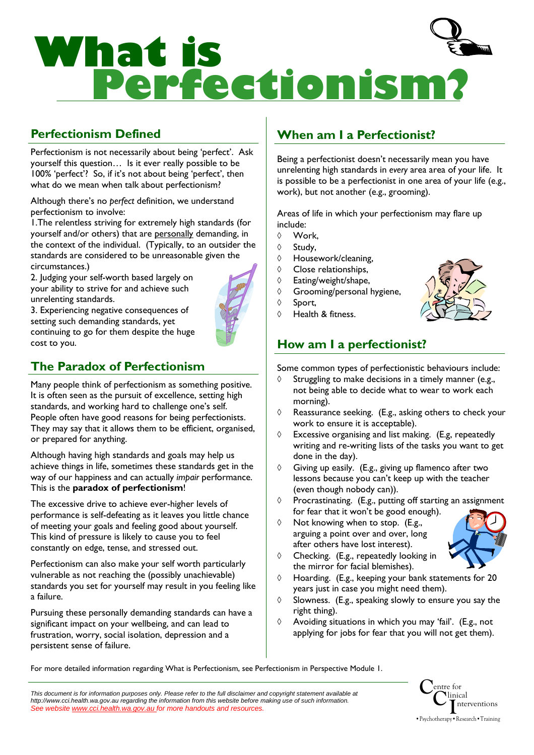

# Perfectionism Defined

Perfectionism is not necessarily about being 'perfect'. Ask yourself this question… Is it ever really possible to be 100% 'perfect'? So, if it's not about being 'perfect', then what do we mean when talk about perfectionism?

Although there's no perfect definition, we understand perfectionism to involve:

1.The relentless striving for extremely high standards (for yourself and/or others) that are personally demanding, in the context of the individual. (Typically, to an outsider the standards are considered to be unreasonable given the circumstances.)

2. Judging your self-worth based largely on your ability to strive for and achieve such unrelenting standards.

3. Experiencing negative consequences of setting such demanding standards, yet continuing to go for them despite the huge

# The Paradox of Perfectionism

cost to you.

Many people think of perfectionism as something positive. It is often seen as the pursuit of excellence, setting high standards, and working hard to challenge one's self. People often have good reasons for being perfectionists. They may say that it allows them to be efficient, organised, or prepared for anything.

Although having high standards and goals may help us achieve things in life, sometimes these standards get in the way of our happiness and can actually *imbair* performance. This is the paradox of perfectionism!

The excessive drive to achieve ever-higher levels of performance is self-defeating as it leaves you little chance of meeting your goals and feeling good about yourself. This kind of pressure is likely to cause you to feel constantly on edge, tense, and stressed out.

Perfectionism can also make your self worth particularly vulnerable as not reaching the (possibly unachievable) standards you set for yourself may result in you feeling like a failure.

Pursuing these personally demanding standards can have a significant impact on your wellbeing, and can lead to frustration, worry, social isolation, depression and a persistent sense of failure.

# When am I a Perfectionist?

Being a perfectionist doesn't necessarily mean you have unrelenting high standards in every area area of your life. It is possible to be a perfectionist in one area of your life (e.g., work), but not another (e.g., grooming).

Areas of life in which your perfectionism may flare up include:

- ◊ Work,
- ◊ Study,
- ◊ Housework/cleaning,
- ◊ Close relationships,
- ◊ Eating/weight/shape,

◊ Health & fitness.

- ◊ Grooming/personal hygiene,
- ◊ Sport,



# How am I a perfectionist?

Some common types of perfectionistic behaviours include:

- Struggling to make decisions in a timely manner (e.g., not being able to decide what to wear to work each morning).
- ◊ Reassurance seeking. (E.g., asking others to check your work to ensure it is acceptable).
- ◊ Excessive organising and list making. (E.g, repeatedly writing and re-writing lists of the tasks you want to get done in the day).
- ◊ Giving up easily. (E.g., giving up flamenco after two lessons because you can't keep up with the teacher (even though nobody can)).
- ◊ Procrastinating. (E.g., putting off starting an assignment for fear that it won't be good enough).
- ◊ Not knowing when to stop. (E.g., arguing a point over and over, long after others have lost interest).



- ◊ Checking. (E.g., repeatedly looking in the mirror for facial blemishes).
- ◊ Hoarding. (E.g., keeping your bank statements for 20 years just in case you might need them).
- ◊ Slowness. (E.g., speaking slowly to ensure you say the right thing).
- ◊ Avoiding situations in which you may 'fail'. (E.g., not applying for jobs for fear that you will not get them).

For more detailed information regarding What is Perfectionism, see Perfectionism in Perspective Module 1.

This document is for information purposes only. Please refer to the full disclaimer and copyright statement available at http://www.cci.health.wa.gov.au regarding the information from this website before making use of such information. See website www.cci.health.wa.gov.au for more handouts and resources

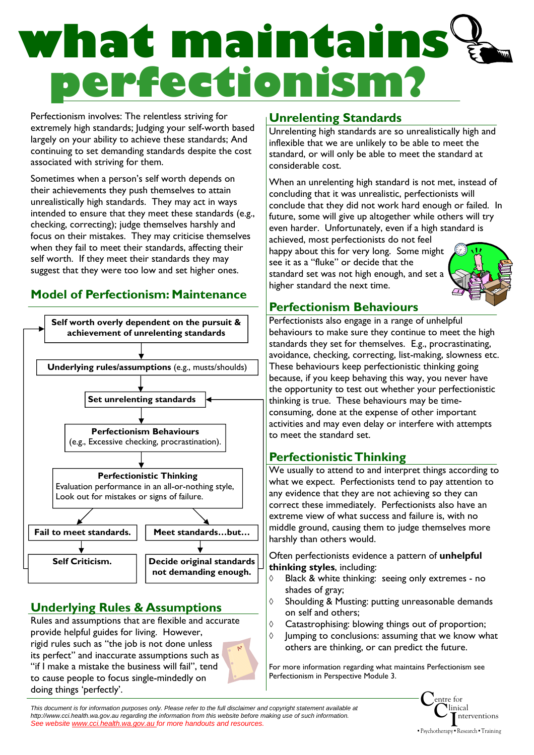# **what maintains perfectionism?**

Perfectionism involves: The relentless striving for extremely high standards; Judging your self-worth based largely on your ability to achieve these standards; And continuing to set demanding standards despite the cost associated with striving for them.

Sometimes when a person's self worth depends on their achievements they push themselves to attain unrealistically high standards. They may act in ways intended to ensure that they meet these standards (e.g., checking, correcting); judge themselves harshly and focus on their mistakes. They may criticise themselves when they fail to meet their standards, affecting their self worth. If they meet their standards they may suggest that they were too low and set higher ones.

# Model of Perfectionism: Maintenance



# Underlying Rules & Assumptions

Rules and assumptions that are flexible and accurate provide helpful guides for living. However, rigid rules such as "the job is not done unless its perfect" and inaccurate assumptions such as "if I make a mistake the business will fail", tend to cause people to focus single-mindedly on doing things 'perfectly'.

# Unrelenting Standards

Unrelenting high standards are so unrealistically high and inflexible that we are unlikely to be able to meet the standard, or will only be able to meet the standard at considerable cost.

When an unrelenting high standard is not met, instead of concluding that it was unrealistic, perfectionists will conclude that they did not work hard enough or failed. In future, some will give up altogether while others will try even harder. Unfortunately, even if a high standard is

achieved, most perfectionists do not feel happy about this for very long. Some might see it as a "fluke" or decide that the standard set was not high enough, and set a higher standard the next time.



# Perfectionism Behaviours

Perfectionists also engage in a range of unhelpful behaviours to make sure they continue to meet the high standards they set for themselves. E.g., procrastinating, avoidance, checking, correcting, list-making, slowness etc. These behaviours keep perfectionistic thinking going because, if you keep behaving this way, you never have the opportunity to test out whether your perfectionistic thinking is true. These behaviours may be timeconsuming, done at the expense of other important activities and may even delay or interfere with attempts to meet the standard set.

# Perfectionistic Thinking

We usually to attend to and interpret things according to what we expect. Perfectionists tend to pay attention to any evidence that they are not achieving so they can correct these immediately. Perfectionists also have an extreme view of what success and failure is, with no middle ground, causing them to judge themselves more harshly than others would.

Often perfectionists evidence a pattern of unhelpful thinking styles, including:

- Black & white thinking: seeing only extremes no shades of gray;
- ◊ Shoulding & Musting: putting unreasonable demands on self and others;
- ◊ Catastrophising: blowing things out of proportion;
- ◊ Jumping to conclusions: assuming that we know what others are thinking, or can predict the future.

For more information regarding what maintains Perfectionism see Perfectionism in Perspective Module 3.

This document is for information purposes only. Please refer to the full disclaimer and copyright statement available at http://www.cci.health.wa.gov.au regarding the information from this website before making use of such information. See website www.cci.health.wa.gov.au for more handouts and resources.

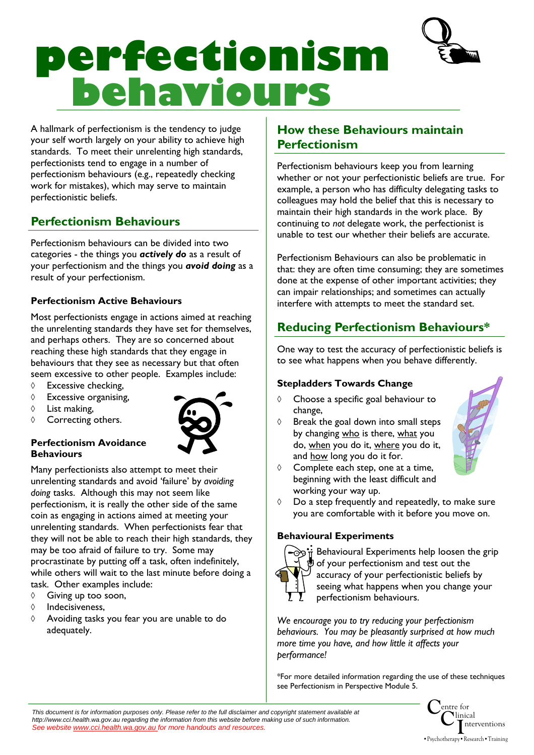

# **perfectionism behaviours**

A hallmark of perfectionism is the tendency to judge your self worth largely on your ability to achieve high standards. To meet their unrelenting high standards, perfectionists tend to engage in a number of perfectionism behaviours (e.g., repeatedly checking work for mistakes), which may serve to maintain perfectionistic beliefs.

# Perfectionism Behaviours

Perfectionism behaviours can be divided into two categories - the things you actively do as a result of your perfectionism and the things you **avoid doing** as a result of your perfectionism.

### Perfectionism Active Behaviours

Most perfectionists engage in actions aimed at reaching the unrelenting standards they have set for themselves, and perhaps others. They are so concerned about reaching these high standards that they engage in behaviours that they see as necessary but that often seem excessive to other people. Examples include:

- ◊ Excessive checking,
- ◊ Excessive organising,
- ◊ List making,
- ◊ Correcting others.



#### Perfectionism Avoidance **Behaviours**

Many perfectionists also attempt to meet their unrelenting standards and avoid 'failure' by avoiding doing tasks. Although this may not seem like perfectionism, it is really the other side of the same coin as engaging in actions aimed at meeting your unrelenting standards. When perfectionists fear that they will not be able to reach their high standards, they may be too afraid of failure to try. Some may procrastinate by putting off a task, often indefinitely, while others will wait to the last minute before doing a task. Other examples include:

- ◊ Giving up too soon,
- ◊ Indecisiveness,
- ◊ Avoiding tasks you fear you are unable to do adequately.

# How these Behaviours maintain Perfectionism

Perfectionism behaviours keep you from learning whether or not your perfectionistic beliefs are true. For example, a person who has difficulty delegating tasks to colleagues may hold the belief that this is necessary to maintain their high standards in the work place. By continuing to not delegate work, the perfectionist is unable to test our whether their beliefs are accurate.

Perfectionism Behaviours can also be problematic in that: they are often time consuming; they are sometimes done at the expense of other important activities; they can impair relationships; and sometimes can actually interfere with attempts to meet the standard set.

# Reducing Perfectionism Behaviours\*

One way to test the accuracy of perfectionistic beliefs is to see what happens when you behave differently.

### Stepladders Towards Change

- ◊ Choose a specific goal behaviour to change,
- ◊ Break the goal down into small steps by changing who is there, what you do, when you do it, where you do it, and how long you do it for.



- ◊ Complete each step, one at a time, beginning with the least difficult and working your way up.
- ◊ Do a step frequently and repeatedly, to make sure you are comfortable with it before you move on.

### Behavioural Experiments



 $\frac{1}{\pi}$  Behavioural Experiments help loosen the grip of your perfectionism and test out the accuracy of your perfectionistic beliefs by seeing what happens when you change your perfectionism behaviours.

We encourage you to try reducing your perfectionism behaviours. You may be pleasantly surprised at how much more time you have, and how little it affects your performance!

\*For more detailed information regarding the use of these techniques see Perfectionism in Perspective Module 5.

This document is for information purposes only. Please refer to the full disclaimer and copyright statement available at http://www.cci.health.wa.gov.au regarding the information from this website before making use of such information. See website www.cci.health.wa.gov.au for more handouts and resources.

Centre for  $\overline{\textbf{C}}$ linical I nterventions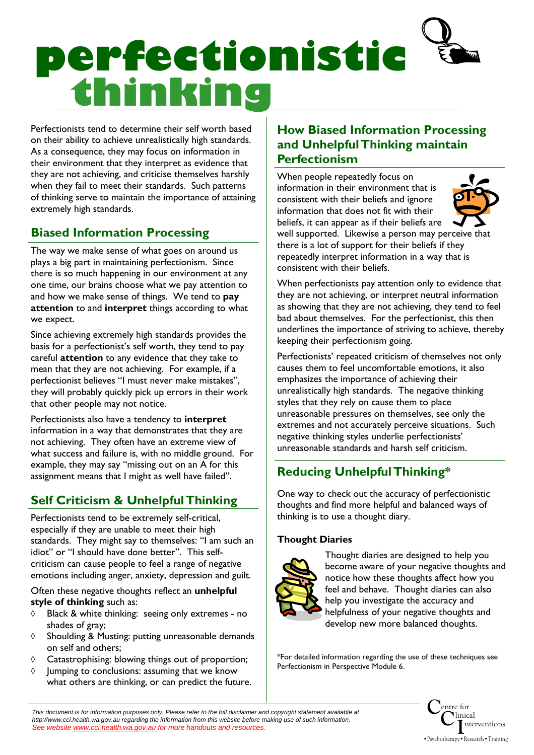# **perfectionistic thinking**

Perfectionists tend to determine their self worth based on their ability to achieve unrealistically high standards. As a consequence, they may focus on information in their environment that they interpret as evidence that they are not achieving, and criticise themselves harshly when they fail to meet their standards. Such patterns of thinking serve to maintain the importance of attaining extremely high standards.

# Biased Information Processing

The way we make sense of what goes on around us plays a big part in maintaining perfectionism. Since there is so much happening in our environment at any one time, our brains choose what we pay attention to and how we make sense of things. We tend to pay attention to and interpret things according to what we expect.

Since achieving extremely high standards provides the basis for a perfectionist's self worth, they tend to pay careful attention to any evidence that they take to mean that they are not achieving. For example, if a perfectionist believes "I must never make mistakes", they will probably quickly pick up errors in their work that other people may not notice.

Perfectionists also have a tendency to interpret information in a way that demonstrates that they are not achieving. They often have an extreme view of what success and failure is, with no middle ground. For example, they may say "missing out on an A for this assignment means that I might as well have failed".

# Self Criticism & Unhelpful Thinking

Perfectionists tend to be extremely self-critical, especially if they are unable to meet their high standards. They might say to themselves: "I am such an idiot" or "I should have done better". This selfcriticism can cause people to feel a range of negative emotions including anger, anxiety, depression and guilt.

Often these negative thoughts reflect an unhelpful style of thinking such as:

- ◊ Black & white thinking: seeing only extremes no shades of gray;
- ◊ Shoulding & Musting: putting unreasonable demands on self and others;
- ◊ Catastrophising: blowing things out of proportion;
- ◊ Jumping to conclusions: assuming that we know what others are thinking, or can predict the future.

# How Biased Information Processing and Unhelpful Thinking maintain Perfectionism

When people repeatedly focus on information in their environment that is consistent with their beliefs and ignore information that does not fit with their beliefs, it can appear as if their beliefs are



well supported. Likewise a person may perceive that there is a lot of support for their beliefs if they repeatedly interpret information in a way that is consistent with their beliefs.

When perfectionists pay attention only to evidence that they are not achieving, or interpret neutral information as showing that they are not achieving, they tend to feel bad about themselves. For the perfectionist, this then underlines the importance of striving to achieve, thereby keeping their perfectionism going.

Perfectionists' repeated criticism of themselves not only causes them to feel uncomfortable emotions, it also emphasizes the importance of achieving their unrealistically high standards. The negative thinking styles that they rely on cause them to place unreasonable pressures on themselves, see only the extremes and not accurately perceive situations. Such negative thinking styles underlie perfectionists' unreasonable standards and harsh self criticism.

# Reducing Unhelpful Thinking\*

One way to check out the accuracy of perfectionistic thoughts and find more helpful and balanced ways of thinking is to use a thought diary.

### Thought Diaries



Thought diaries are designed to help you become aware of your negative thoughts and notice how these thoughts affect how you feel and behave. Thought diaries can also help you investigate the accuracy and helpfulness of your negative thoughts and develop new more balanced thoughts.

\*For detailed information regarding the use of these techniques see Perfectionism in Perspective Module 6.



Centre for  $\overline{\textbf{C}}$ linical I nterventions •Psychotherapy•Research•Training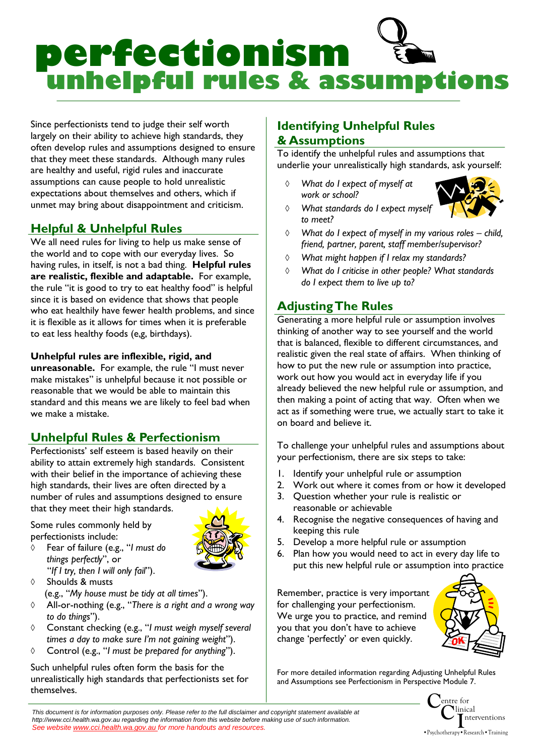

Since perfectionists tend to judge their self worth largely on their ability to achieve high standards, they often develop rules and assumptions designed to ensure that they meet these standards. Although many rules are healthy and useful, rigid rules and inaccurate assumptions can cause people to hold unrealistic expectations about themselves and others, which if unmet may bring about disappointment and criticism.

### **Helpful & Unhelpful Rules**

We all need rules for living to help us make sense of the world and to cope with our everyday lives. So having rules, in itself, is not a bad thing. Helpful rules are realistic, flexible and adaptable. For example, the rule "it is good to try to eat healthy food" is helpful since it is based on evidence that shows that people who eat healthily have fewer health problems, and since it is flexible as it allows for times when it is preferable to eat less healthy foods (e,g, birthdays).

#### Unhelpful rules are inflexible, rigid, and

unreasonable. For example, the rule "I must never make mistakes" is unhelpful because it not possible or reasonable that we would be able to maintain this standard and this means we are likely to feel bad when we make a mistake.

# Unhelpful Rules & Perfectionism

Perfectionists' self esteem is based heavily on their ability to attain extremely high standards. Consistent with their belief in the importance of achieving these high standards, their lives are often directed by a number of rules and assumptions designed to ensure that they meet their high standards.

Some rules commonly held by perfectionists include:

- 
- things perfectly", or "If I try, then I will only fail"). ◊ Shoulds & musts

◊ Fear of failure (e.g., "I must do

- (e.g., "My house must be tidy at all times").
- ◊ All-or-nothing (e.g., "There is a right and a wrong way to do things").
- ◊ Constant checking (e.g., "I must weigh myself several times a day to make sure I'm not gaining weight").
- ◊ Control (e.g., "I must be prepared for anything").

Such unhelpful rules often form the basis for the unrealistically high standards that perfectionists set for themselves.

# Identifying Unhelpful Rules & Assumptions

To identify the unhelpful rules and assumptions that underlie your unrealistically high standards, ask yourself:

◊ What do I expect of myself at work or school?



- ◊ What standards do I expect myself to meet?
- ◊ What do I expect of myself in my various roles child, friend, partner, parent, staff member/supervisor?
- ◊ What might happen if I relax my standards?
- What do I criticise in other people? What standards do I expect them to live up to?

### Adjusting The Rules

Generating a more helpful rule or assumption involves thinking of another way to see yourself and the world that is balanced, flexible to different circumstances, and realistic given the real state of affairs. When thinking of how to put the new rule or assumption into practice, work out how you would act in everyday life if you already believed the new helpful rule or assumption, and then making a point of acting that way. Often when we act as if something were true, we actually start to take it on board and believe it.

To challenge your unhelpful rules and assumptions about your perfectionism, there are six steps to take:

- 1. Identify your unhelpful rule or assumption
- 2. Work out where it comes from or how it developed
- 3. Question whether your rule is realistic or reasonable or achievable
- 4. Recognise the negative consequences of having and keeping this rule
- 5. Develop a more helpful rule or assumption
- 6. Plan how you would need to act in every day life to put this new helpful rule or assumption into practice

Remember, practice is very important for challenging your perfectionism. We urge you to practice, and remind you that you don't have to achieve change 'perfectly' or even quickly.



For more detailed information regarding Adjusting Unhelpful Rules and Assumptions see Perfectionism in Perspective Module 7.

> Centre for  $\overset{\text{entr}}{\textbf{C}}$ linical I nterventions •Psychotherapy•Research•Training

This document is for information purposes only. Please refer to the full disclaimer and copyright statement available at http://www.cci.health.wa.gov.au regarding the information from this website before making use of such information. See website www.cci.health.wa.gov.au for more handouts and resources.